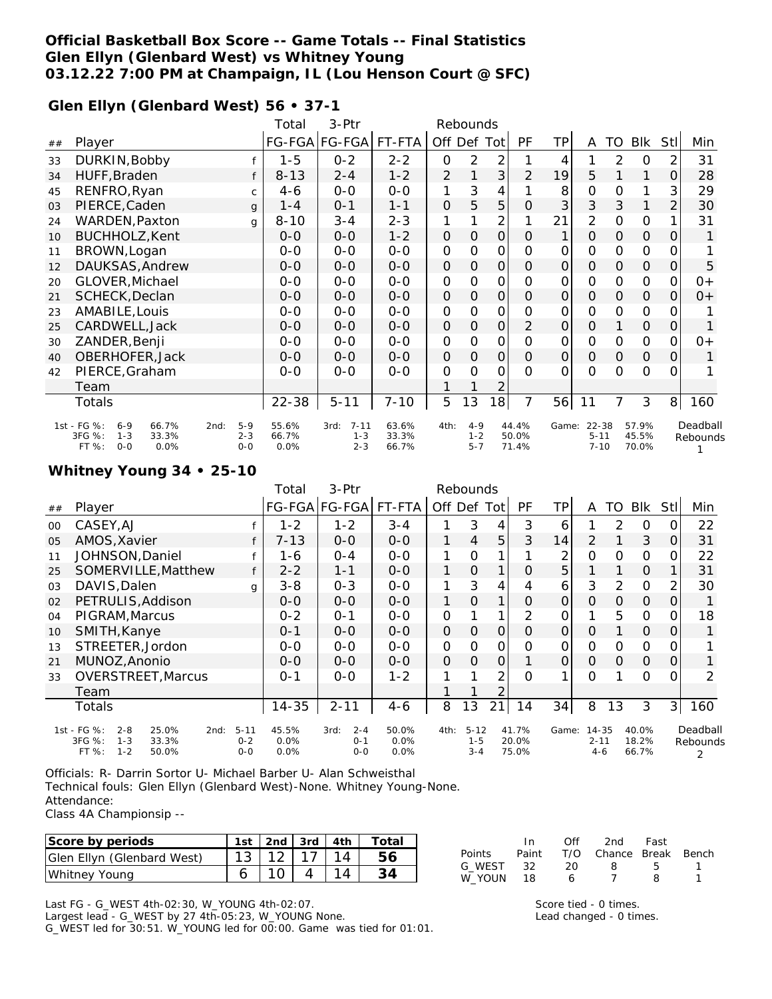### **Official Basketball Box Score -- Game Totals -- Final Statistics Glen Ellyn (Glenbard West) vs Whitney Young 03.12.22 7:00 PM at Champaign, IL (Lou Henson Court @ SFC)**

#### **Glen Ellyn (Glenbard West) 56 • 37-1**

|    |                                                                                                   |                             | Total                  | 3-Ptr                                  | Rebounds                |                |                               |                     |                         |                |                                     |               |                         |                |                      |
|----|---------------------------------------------------------------------------------------------------|-----------------------------|------------------------|----------------------------------------|-------------------------|----------------|-------------------------------|---------------------|-------------------------|----------------|-------------------------------------|---------------|-------------------------|----------------|----------------------|
| ## | Player                                                                                            |                             |                        | FG-FGA FG-FGA                          | FT-FTA                  | Off Def        |                               | Tot                 | PF                      | TP             | A                                   | TO            | Blk                     | <b>Stll</b>    | Min                  |
| 33 | DURKIN, Bobby                                                                                     |                             | $1 - 5$                | $0 - 2$                                | $2 - 2$                 | 0              | 2                             | 2                   |                         | 4              |                                     | 2             | 0                       | 2              | 31                   |
| 34 | HUFF, Braden                                                                                      |                             | $8 - 13$               | $2 - 4$                                | $1 - 2$                 | $\overline{2}$ |                               | 3                   | $\overline{2}$          | 19             | 5                                   |               | 1                       | 0              | 28                   |
| 45 | RENFRO, Ryan                                                                                      | C                           | $4-6$                  | $0-0$                                  | $0 - 0$                 | 1              | 3                             | 4                   |                         | 8              | 0                                   | O             | 1                       | 3              | 29                   |
| 03 | PIERCE, Caden                                                                                     | q                           | $1 - 4$                | $0 - 1$                                | $1 - 1$                 | $\mathcal{O}$  | 5                             | 5                   | $\mathcal{O}$           | 3              | 3                                   | 3             | 1                       | 2              | 30                   |
| 24 | <b>WARDEN, Paxton</b>                                                                             | q                           | $8 - 10$               | $3 - 4$                                | $2 - 3$                 | 1              |                               | $\overline{2}$      |                         | 21             | 2                                   | O             | 0                       | 1              | 31                   |
| 10 | BUCHHOLZ, Kent                                                                                    |                             | $0 - 0$                | $0-0$                                  | $1 - 2$                 | 0              | $\mathcal{O}$                 | $\mathbf 0$         | $\overline{O}$          | 1              | $\overline{O}$                      | $\mathcal{O}$ | $\mathbf 0$             | 0              | 1                    |
| 11 | BROWN, Logan                                                                                      | $0 - 0$                     | $0 - 0$                | $0 - 0$                                | $\mathbf 0$             | 0              | 0                             | O                   | 0                       | $\mathbf 0$    | O                                   | 0             | 0                       |                |                      |
| 12 | DAUKSAS, Andrew                                                                                   | $0 - 0$                     | $0-0$                  | $0-0$                                  | $\mathbf{O}$            | $\Omega$       | $\mathsf{O}\xspace$           | $\Omega$            | $\mathcal{O}$           | $\Omega$       | $\Omega$                            | $\mathbf 0$   | 0                       | 5              |                      |
| 20 | GLOVER, Michael                                                                                   |                             | $0 - 0$                | $0-0$                                  | $0 - 0$                 | $\mathsf{O}$   | 0                             | 0                   | $\Omega$                | 0              | $\mathcal{O}$                       | $\Omega$      | 0                       | 0              | 0+                   |
| 21 | SCHECK, Declan                                                                                    |                             | $0-0$                  | $0 - 0$                                | $0-0$                   | O              | 0                             | $\mathbf 0$         | $\Omega$                | $\mathcal{O}$  | $\Omega$                            | $\Omega$      | 0                       | 0              | $0+$                 |
| 23 | AMABILE, Louis                                                                                    |                             | $0 - 0$                | $0 - 0$                                | $0 - 0$                 | $\mathsf{O}$   | $\overline{O}$                | $\mathsf{O}$        | O                       | 0              | 0                                   | O             | $\mathbf 0$             | O              |                      |
| 25 | CARDWELL, Jack                                                                                    |                             | $0-0$                  | $0-0$                                  | $0-0$                   | $\mathcal{O}$  | $\mathcal{O}$                 | $\mathbf{O}$        | $\overline{2}$          | $\mathcal{O}$  | $\mathcal{O}$                       |               | $\mathcal{O}$           | $\overline{O}$ | 1                    |
| 30 | ZANDER, Benji                                                                                     |                             | $0 - 0$                | $0-0$                                  | $0 - 0$                 | $\mathbf 0$    | 0                             | 0                   | $\Omega$                | 0              | $\mathbf{O}$                        | O             | 0                       | 0              | $0+$                 |
| 40 | OBERHOFER, Jack                                                                                   |                             | $0 - 0$                | $0 - 0$                                | $0-0$                   | 0              | $\mathbf 0$                   | $\mathsf{O}\xspace$ | $\Omega$                | $\overline{O}$ | $\mathcal{O}$                       | $\mathcal{O}$ | $\mathcal{O}$           | 0              |                      |
| 42 | PIERCE, Graham                                                                                    |                             | $O - O$                | $0 - 0$                                | $0 - 0$                 | O              | $\Omega$                      | 0                   | $\Omega$                | $\Omega$       | $\Omega$                            | $\Omega$      | $\Omega$                | O              |                      |
|    | Team                                                                                              |                             |                        |                                        |                         |                |                               | 2                   |                         |                |                                     |               |                         |                |                      |
|    | <b>Totals</b>                                                                                     |                             | $22 - 38$              | $5 - 11$                               | $7 - 10$                | 5              | 13                            | 18                  | 7                       | 56             | 11                                  | 7             | 3                       | 8 <sup>1</sup> | 160                  |
|    | 1st - FG %:<br>66.7%<br>$6 - 9$<br>2nd:<br>3FG %:<br>33.3%<br>$1 - 3$<br>FT %:<br>$0 - 0$<br>0.0% | $5-9$<br>$2 - 3$<br>$0 - 0$ | 55.6%<br>66.7%<br>0.0% | $7 - 11$<br>3rd:<br>$1 - 3$<br>$2 - 3$ | 63.6%<br>33.3%<br>66.7% | 4th:           | $4 - 9$<br>$1 - 2$<br>$5 - 7$ |                     | 44.4%<br>50.0%<br>71.4% |                | Game: 22-38<br>$5 - 11$<br>$7 - 10$ |               | 57.9%<br>45.5%<br>70.0% |                | Deadball<br>Rebounds |

#### **Whitney Young 34 • 25-10**

|    |                                                         |                    | Total        | 3-Ptr              |              |               | Rebounds           |                |                |               |                     |          |                |                |          |
|----|---------------------------------------------------------|--------------------|--------------|--------------------|--------------|---------------|--------------------|----------------|----------------|---------------|---------------------|----------|----------------|----------------|----------|
| ## | Player                                                  |                    |              | FG-FGA FG-FGA      | FT-FTA       | Off Def Tot   |                    |                | <b>PF</b>      | TP            | A                   | TO       | <b>BIK</b>     | <b>Stll</b>    | Min      |
| 00 | CASEY, AJ                                               |                    | $1 - 2$      | $1 - 2$            | $3 - 4$      |               | 3                  | 4              | 3              | 6             |                     | 2        | 0              | 0              | 22       |
| 05 | AMOS, Xavier                                            |                    | 7-13         | $0 - 0$            | $0-0$        | 1             | 4                  | 5              | 3              | 14            | 2                   |          | 3              | $\overline{O}$ | 31       |
| 11 | JOHNSON, Daniel                                         |                    | 1-6          | $0 - 4$            | $0 - 0$      | $\mathbf{1}$  | 0                  |                |                | 2             | $\Omega$            | $\Omega$ | 0              | O.             | 22       |
| 25 | SOMERVILLE, Matthew                                     | f                  | $2 - 2$      | $1 - 1$            | $0 - 0$      | 1             | $\mathbf 0$        | $\mathbf{1}$   | $\Omega$       | 5             |                     |          | $\mathcal{O}$  |                | 31       |
| 03 | DAVIS, Dalen                                            | g                  | $3 - 8$      | $0 - 3$            | $0 - 0$      | $\mathbf{1}$  | 3                  | 4              | 4              | 6             | 3                   | 2        | 0              | 2              | 30       |
| 02 | PETRULIS, Addison                                       |                    | $0 - 0$      | $O - O$            | $0 - 0$      | $\mathbf{1}$  | $\Omega$           | $\mathbf{1}$   | $\Omega$       | $\mathcal{O}$ | O                   | $\Omega$ | $\Omega$       | 0              |          |
| 04 | PIGRAM, Marcus                                          |                    | $0 - 2$      | $O - 1$            | $0 - 0$      | O             |                    |                | 2              | 0             |                     | 5        | 0              | 0              | 18       |
| 10 | SMITH, Kanye                                            |                    | $0 - 1$      | $0 - 0$            | $0 - 0$      | $\mathcal{O}$ | $\Omega$           | $\mathbf{O}$   | O              | $\mathcal{O}$ | 0                   |          | $\mathcal{O}$  | 0              |          |
| 13 | STREETER, Jordon                                        |                    | $0 - 0$      | $0 - 0$            | $0 - 0$      | 0             | $\Omega$           | 0              | O              | 0             | $\Omega$            | O        | 0              | 0              |          |
| 21 | MUNOZ, Anonio                                           |                    | $0 - 0$      | $O - O$            | $0 - 0$      | O             | $\Omega$           | $\mathbf{O}$   |                | $\Omega$      | $\mathcal{O}$       | $\Omega$ | $\mathcal{O}$  | $\overline{O}$ |          |
| 33 | <b>OVERSTREET, Marcus</b>                               |                    | $0 - 1$      | $0 - 0$            | $1 - 2$      |               |                    | 2              | $\Omega$       |               | $\Omega$            |          | $\Omega$       | $\Omega$       | 2        |
|    | Team                                                    |                    |              |                    |              |               |                    | $\overline{2}$ |                |               |                     |          |                |                |          |
|    | Totals                                                  |                    | $14 - 35$    | $2 - 11$           | 4-6          | 8             | 13                 | 21             | 14             | 34            | 8                   | 13       | 3              | 3              | 160      |
|    | 1st - FG %:<br>$2 - 8$<br>25.0%<br>2nd:                 | $5 - 11$           | 45.5%        | $2 - 4$<br>3rd:    | 50.0%        | 4th:          | $5 - 12$           |                | 41.7%          | Game:         | 14-35               |          | 40.0%          |                | Deadball |
|    | 3FG %:<br>$1 - 3$<br>33.3%<br>$1 - 2$<br>FT %:<br>50.0% | $0 - 2$<br>$0 - 0$ | 0.0%<br>0.0% | $0 - 1$<br>$0 - 0$ | 0.0%<br>0.0% |               | $1 - 5$<br>$3 - 4$ |                | 20.0%<br>75.0% |               | $2 - 11$<br>$4 - 6$ |          | 18.2%<br>66.7% |                | Rebounds |

Officials: R- Darrin Sortor U- Michael Barber U- Alan Schweisthal Technical fouls: Glen Ellyn (Glenbard West)-None. Whitney Young-None. Attendance:

Class 4A Championsip --

| Score by periods           | 1st | $2nd$ 3rd $4th$ |  | Total |
|----------------------------|-----|-----------------|--|-------|
| Glen Ellyn (Glenbard West) |     |                 |  |       |
| Whitney Young              |     |                 |  |       |

In Off 2nd Fast Points Paint T/O Chance Break Bench G\_WEST 32 20 8 5 1 W\_YOUN 18 6 7 8 1

Last FG - G\_WEST 4th-02:30, W\_YOUNG 4th-02:07.

Largest lead - G\_WEST by 27 4th-05:23, W\_YOUNG None. G\_WEST led for 30:51. W\_YOUNG led for 00:00. Game was tied for 01:01.

Score tied - 0 times. Lead changed - 0 times.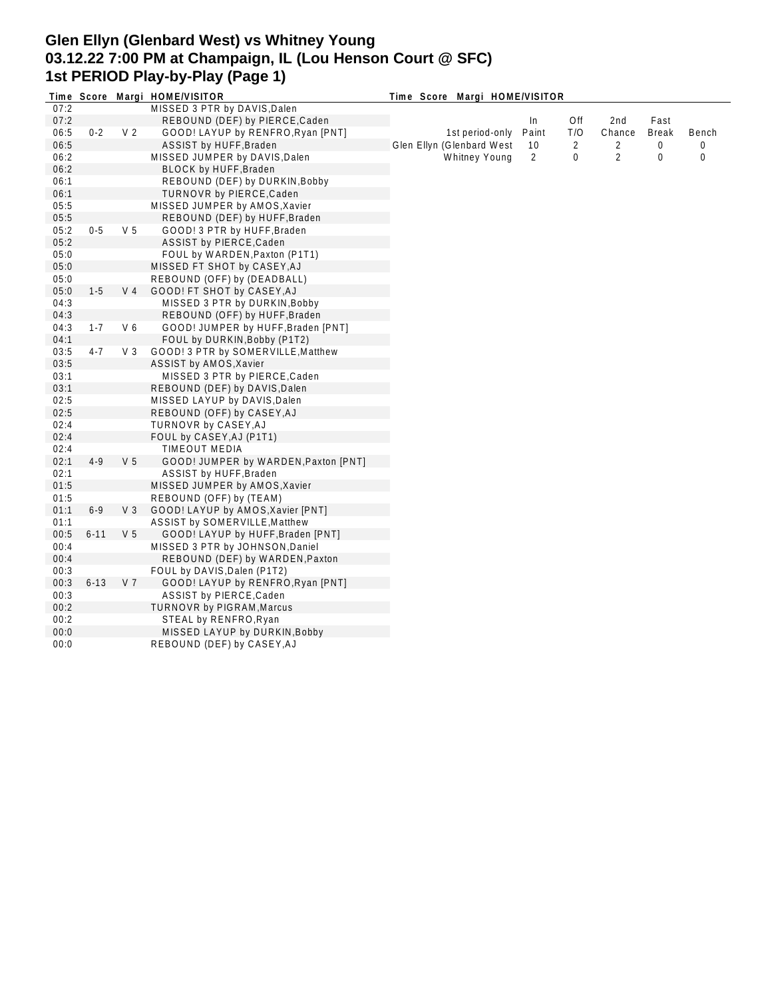## **Glen Ellyn (Glenbard West) vs Whitney Young 03.12.22 7:00 PM at Champaign, IL (Lou Henson Court @ SFC) 1st PERIOD Play-by-Play (Page 1)**

|      |          |                | Time Score Margi HOME/VISITOR        | Time Score Margi HOME/VISITOR |       |     |                |              |          |  |
|------|----------|----------------|--------------------------------------|-------------------------------|-------|-----|----------------|--------------|----------|--|
| 07:2 |          |                | MISSED 3 PTR by DAVIS, Dalen         |                               |       |     |                |              |          |  |
| 07:2 |          |                | REBOUND (DEF) by PIERCE, Caden       |                               | In    | Off | 2nd            | Fast         |          |  |
| 06:5 | $0 - 2$  | V <sub>2</sub> | GOOD! LAYUP by RENFRO, Ryan [PNT]    | 1st period-only               | Paint | T/O | Chance         | <b>Break</b> | Bench    |  |
| 06:5 |          |                | ASSIST by HUFF, Braden               | Glen Ellyn (Glenbard West     | 10    | 2   | 2              | 0            | $\Omega$ |  |
| 06:2 |          |                | MISSED JUMPER by DAVIS, Dalen        | Whitney Young                 | 2     | 0   | $\overline{2}$ | 0            | 0        |  |
| 06:2 |          |                | BLOCK by HUFF, Braden                |                               |       |     |                |              |          |  |
| 06:1 |          |                | REBOUND (DEF) by DURKIN, Bobby       |                               |       |     |                |              |          |  |
| 06:1 |          |                | TURNOVR by PIERCE, Caden             |                               |       |     |                |              |          |  |
| 05:5 |          |                | MISSED JUMPER by AMOS, Xavier        |                               |       |     |                |              |          |  |
| 05:5 |          |                | REBOUND (DEF) by HUFF, Braden        |                               |       |     |                |              |          |  |
| 05:2 | $0-5$    | V <sub>5</sub> | GOOD! 3 PTR by HUFF, Braden          |                               |       |     |                |              |          |  |
| 05:2 |          |                | ASSIST by PIERCE, Caden              |                               |       |     |                |              |          |  |
| 05:0 |          |                | FOUL by WARDEN, Paxton (P1T1)        |                               |       |     |                |              |          |  |
| 05:0 |          |                | MISSED FT SHOT by CASEY, AJ          |                               |       |     |                |              |          |  |
| 05:0 |          |                | REBOUND (OFF) by (DEADBALL)          |                               |       |     |                |              |          |  |
| 05:0 | $1 - 5$  | V <sub>4</sub> | GOOD! FT SHOT by CASEY, AJ           |                               |       |     |                |              |          |  |
| 04:3 |          |                | MISSED 3 PTR by DURKIN, Bobby        |                               |       |     |                |              |          |  |
| 04:3 |          |                | REBOUND (OFF) by HUFF, Braden        |                               |       |     |                |              |          |  |
| 04:3 | $1 - 7$  | V6             | GOOD! JUMPER by HUFF, Braden [PNT]   |                               |       |     |                |              |          |  |
| 04:1 |          |                | FOUL by DURKIN, Bobby (P1T2)         |                               |       |     |                |              |          |  |
| 03:5 | $4 - 7$  | $V_3$          | GOOD! 3 PTR by SOMERVILLE, Matthew   |                               |       |     |                |              |          |  |
| 03:5 |          |                | ASSIST by AMOS, Xavier               |                               |       |     |                |              |          |  |
| 03:1 |          |                | MISSED 3 PTR by PIERCE, Caden        |                               |       |     |                |              |          |  |
| 03:1 |          |                | REBOUND (DEF) by DAVIS, Dalen        |                               |       |     |                |              |          |  |
| 02:5 |          |                | MISSED LAYUP by DAVIS, Dalen         |                               |       |     |                |              |          |  |
| 02:5 |          |                | REBOUND (OFF) by CASEY, AJ           |                               |       |     |                |              |          |  |
| 02:4 |          |                | TURNOVR by CASEY, AJ                 |                               |       |     |                |              |          |  |
| 02:4 |          |                | FOUL by CASEY, AJ (P1T1)             |                               |       |     |                |              |          |  |
| 02:4 |          |                | <b>TIMEOUT MEDIA</b>                 |                               |       |     |                |              |          |  |
| 02:1 | $4-9$    | V <sub>5</sub> | GOOD! JUMPER by WARDEN, Paxton [PNT] |                               |       |     |                |              |          |  |
| 02:1 |          |                | ASSIST by HUFF, Braden               |                               |       |     |                |              |          |  |
| 01:5 |          |                | MISSED JUMPER by AMOS, Xavier        |                               |       |     |                |              |          |  |
| 01:5 |          |                | REBOUND (OFF) by (TEAM)              |                               |       |     |                |              |          |  |
| 01:1 | $6 - 9$  | $V_3$          | GOOD! LAYUP by AMOS, Xavier [PNT]    |                               |       |     |                |              |          |  |
| 01:1 |          |                | ASSIST by SOMERVILLE, Matthew        |                               |       |     |                |              |          |  |
| 00:5 | $6 - 11$ | V <sub>5</sub> | GOOD! LAYUP by HUFF, Braden [PNT]    |                               |       |     |                |              |          |  |
| 00:4 |          |                | MISSED 3 PTR by JOHNSON, Daniel      |                               |       |     |                |              |          |  |
| 00:4 |          |                | REBOUND (DEF) by WARDEN, Paxton      |                               |       |     |                |              |          |  |
| 00:3 |          |                | FOUL by DAVIS, Dalen (P1T2)          |                               |       |     |                |              |          |  |
| 00:3 | $6 - 13$ | V <sub>7</sub> | GOOD! LAYUP by RENFRO, Ryan [PNT]    |                               |       |     |                |              |          |  |
| 00:3 |          |                | ASSIST by PIERCE, Caden              |                               |       |     |                |              |          |  |
| 00:2 |          |                | TURNOVR by PIGRAM, Marcus            |                               |       |     |                |              |          |  |
| 00:2 |          |                | STEAL by RENFRO, Ryan                |                               |       |     |                |              |          |  |
|      |          |                |                                      |                               |       |     |                |              |          |  |
| 00:0 |          |                | MISSED LAYUP by DURKIN, Bobby        |                               |       |     |                |              |          |  |
| 00:0 |          |                | REBOUND (DEF) by CASEY, AJ           |                               |       |     |                |              |          |  |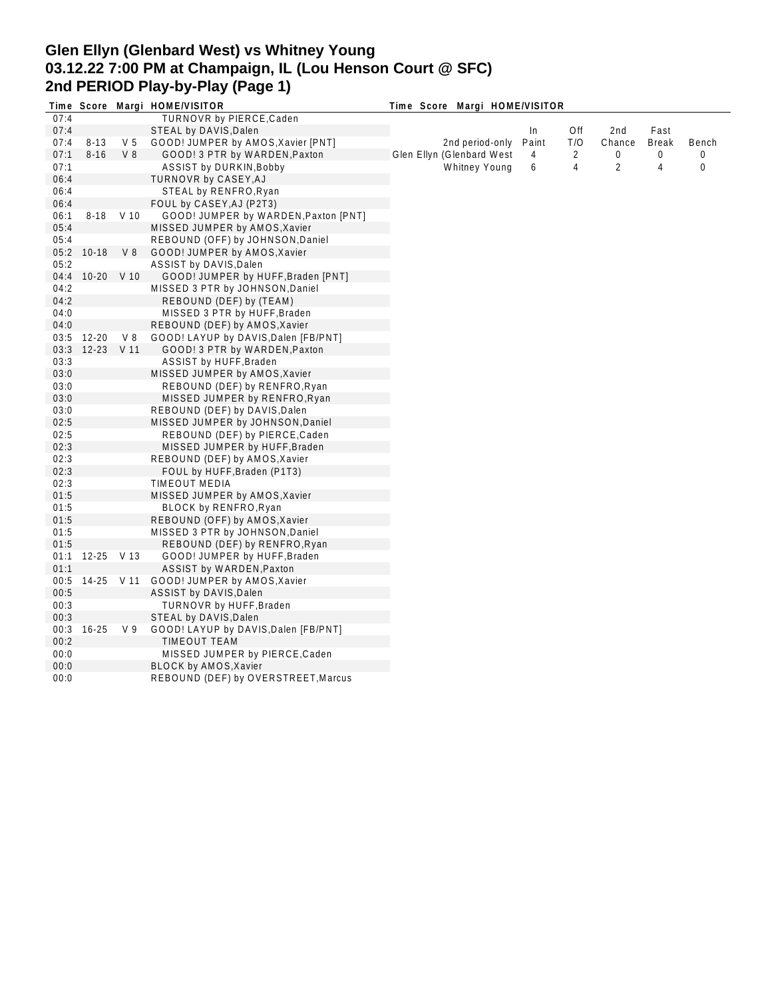# **Glen Ellyn (Glenbard West) vs Whitney Young 03.12.22 7:00 PM at Champaign, IL (Lou Henson Court @ SFC) 2nd PERIOD Play-by-Play (Page 1)**

|              |            |                | Time Score Margi HOME/VISITOR           |                               |              |                |                 |              |             |
|--------------|------------|----------------|-----------------------------------------|-------------------------------|--------------|----------------|-----------------|--------------|-------------|
| 07:4         |            |                | TURNOVR by PIERCE, Caden                | Time Score Margi HOME/VISITOR |              |                |                 |              |             |
| 07:4         |            |                | STEAL by DAVIS, Dalen                   |                               |              | Off            | 2 <sub>nd</sub> | Fast         |             |
| 07:4         | $8 - 13$   | V <sub>5</sub> | GOOD! JUMPER by AMOS, Xavier [PNT]      | 2nd period-only               | In.<br>Paint | T/O            | Chance          | <b>Break</b> | Bench       |
| 07:1         | $8 - 16$   | V <sub>8</sub> |                                         | Glen Ellyn (Glenbard West     | 4            | $\overline{2}$ | 0               | 0            | 0           |
|              |            |                | GOOD! 3 PTR by WARDEN, Paxton           |                               |              |                |                 |              |             |
| 07:1         |            |                | ASSIST by DURKIN, Bobby                 | Whitney Young                 | 6            | 4              | 2               | 4            | $\mathbf 0$ |
| 06:4         |            |                | TURNOVR by CASEY, AJ                    |                               |              |                |                 |              |             |
| 06:4         |            |                | STEAL by RENFRO, Ryan                   |                               |              |                |                 |              |             |
| 06:4         |            |                | FOUL by CASEY, AJ (P2T3)                |                               |              |                |                 |              |             |
| 06:1         |            | 8-18 V 10      | GOOD! JUMPER by WARDEN, Paxton [PNT]    |                               |              |                |                 |              |             |
| 05:4         |            |                | MISSED JUMPER by AMOS, Xavier           |                               |              |                |                 |              |             |
| 05:4         |            |                | REBOUND (OFF) by JOHNSON, Daniel        |                               |              |                |                 |              |             |
| 05:2         | $10-18$    | V8             | GOOD! JUMPER by AMOS, Xavier            |                               |              |                |                 |              |             |
| 05:2         |            |                | ASSIST by DAVIS, Dalen                  |                               |              |                |                 |              |             |
| 04:4         | 10-20 V 10 |                | GOOD! JUMPER by HUFF, Braden [PNT]      |                               |              |                |                 |              |             |
| 04:2         |            |                | MISSED 3 PTR by JOHNSON, Daniel         |                               |              |                |                 |              |             |
| 04:2         |            |                | REBOUND (DEF) by (TEAM)                 |                               |              |                |                 |              |             |
| 04:0         |            |                | MISSED 3 PTR by HUFF, Braden            |                               |              |                |                 |              |             |
| 04:0         |            |                | REBOUND (DEF) by AMOS, Xavier           |                               |              |                |                 |              |             |
| 03:5         | 12-20      | V8             | GOOD! LAYUP by DAVIS, Dalen [FB/PNT]    |                               |              |                |                 |              |             |
| 03:3         | 12-23 V 11 |                | GOOD! 3 PTR by WARDEN, Paxton           |                               |              |                |                 |              |             |
| 03:3         |            |                | ASSIST by HUFF, Braden                  |                               |              |                |                 |              |             |
| 03:0         |            |                | MISSED JUMPER by AMOS, Xavier           |                               |              |                |                 |              |             |
| 03:0         |            |                | REBOUND (DEF) by RENFRO, Ryan           |                               |              |                |                 |              |             |
| 03:0         |            |                | MISSED JUMPER by RENFRO, Ryan           |                               |              |                |                 |              |             |
| 03:0         |            |                | REBOUND (DEF) by DAVIS, Dalen           |                               |              |                |                 |              |             |
| 02:5         |            |                | MISSED JUMPER by JOHNSON, Daniel        |                               |              |                |                 |              |             |
| 02:5         |            |                | REBOUND (DEF) by PIERCE, Caden          |                               |              |                |                 |              |             |
| 02:3         |            |                | MISSED JUMPER by HUFF, Braden           |                               |              |                |                 |              |             |
| 02:3         |            |                | REBOUND (DEF) by AMOS, Xavier           |                               |              |                |                 |              |             |
| 02:3         |            |                | FOUL by HUFF, Braden (P1T3)             |                               |              |                |                 |              |             |
| 02:3         |            |                | <b>TIMEOUT MEDIA</b>                    |                               |              |                |                 |              |             |
| 01:5         |            |                | MISSED JUMPER by AMOS, Xavier           |                               |              |                |                 |              |             |
| 01:5         |            |                | BLOCK by RENFRO, Ryan                   |                               |              |                |                 |              |             |
| 01:5         |            |                | REBOUND (OFF) by AMOS, Xavier           |                               |              |                |                 |              |             |
| 01:5         |            |                | MISSED 3 PTR by JOHNSON, Daniel         |                               |              |                |                 |              |             |
| 01:5         |            |                | REBOUND (DEF) by RENFRO, Ryan           |                               |              |                |                 |              |             |
| 01:1         | 12-25 V 13 |                | GOOD! JUMPER by HUFF, Braden            |                               |              |                |                 |              |             |
| 01:1         |            |                | ASSIST by WARDEN, Paxton                |                               |              |                |                 |              |             |
| 00:5         |            |                | 14-25 V 11 GOOD! JUMPER by AMOS, Xavier |                               |              |                |                 |              |             |
| 00:5         |            |                | ASSIST by DAVIS, Dalen                  |                               |              |                |                 |              |             |
| 00:3         |            |                | TURNOVR by HUFF, Braden                 |                               |              |                |                 |              |             |
| 00:3         |            |                | STEAL by DAVIS, Dalen                   |                               |              |                |                 |              |             |
| 00:3         | $16 - 25$  | V <sub>9</sub> | GOOD! LAYUP by DAVIS, Dalen [FB/PNT]    |                               |              |                |                 |              |             |
| 00:2         |            |                | <b>TIMEOUT TEAM</b>                     |                               |              |                |                 |              |             |
| 00:0         |            |                | MISSED JUMPER by PIERCE, Caden          |                               |              |                |                 |              |             |
|              |            |                |                                         |                               |              |                |                 |              |             |
| 00:0<br>00:0 |            |                | <b>BLOCK by AMOS, Xavier</b>            |                               |              |                |                 |              |             |
|              |            |                | REBOUND (DEF) by OVERSTREET, Marcus     |                               |              |                |                 |              |             |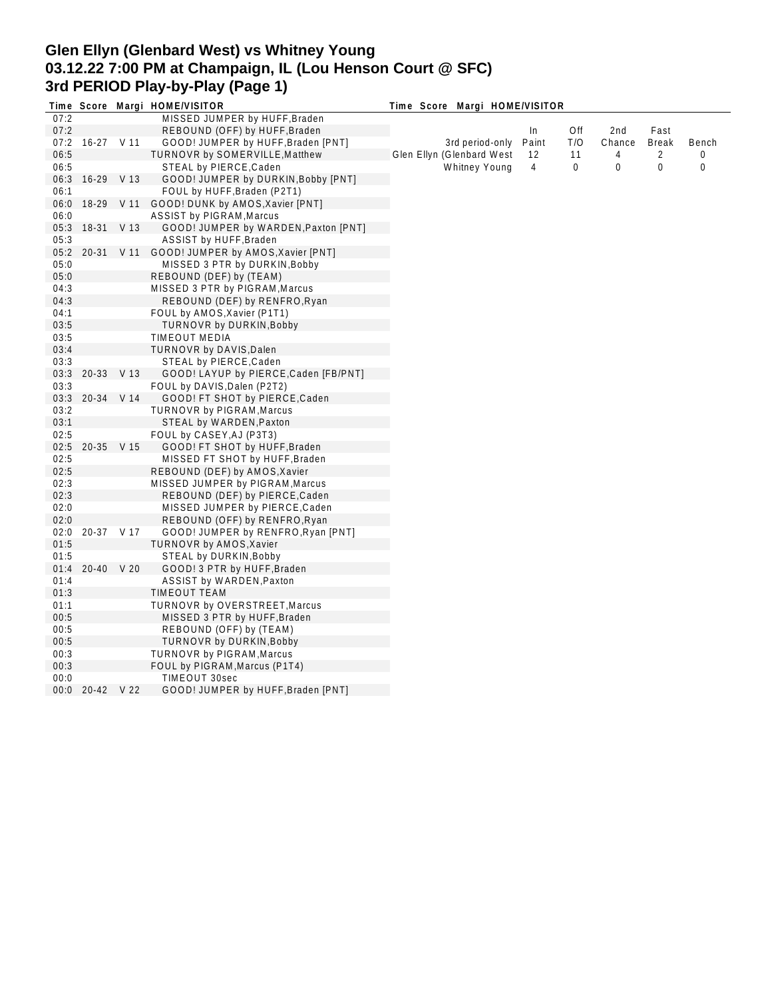# **Glen Ellyn (Glenbard West) vs Whitney Young 03.12.22 7:00 PM at Champaign, IL (Lou Henson Court @ SFC) 3rd PERIOD Play-by-Play (Page 1)**

|              |                 | Time Score Margi HOME/VISITOR                 | Time Score Margi HOME/VISITOR |       |     |        |              |       |
|--------------|-----------------|-----------------------------------------------|-------------------------------|-------|-----|--------|--------------|-------|
| 07:2         |                 | MISSED JUMPER by HUFF, Braden                 |                               |       |     |        |              |       |
| 07:2         |                 | REBOUND (OFF) by HUFF, Braden                 |                               | In    | Off | 2nd    | Fast         |       |
| 07:2         | 16-27 V 11      | GOOD! JUMPER by HUFF, Braden [PNT]            | 3rd period-only               | Paint | T/O | Chance | <b>Break</b> | Bench |
| 06:5         |                 | TURNOVR by SOMERVILLE, Matthew                | Glen Ellyn (Glenbard West     | 12    | 11  | 4      | 2            | 0     |
| 06:5         |                 | STEAL by PIERCE, Caden                        | <b>Whitney Young</b>          | 4     | 0   | 0      | 0            | 0     |
| 06:3         | 16-29 V 13      | GOOD! JUMPER by DURKIN, Bobby [PNT]           |                               |       |     |        |              |       |
| 06:1         |                 | FOUL by HUFF, Braden (P2T1)                   |                               |       |     |        |              |       |
| 06:0         | 18-29 V 11      | GOOD! DUNK by AMOS, Xavier [PNT]              |                               |       |     |        |              |       |
| 06:0         |                 | <b>ASSIST by PIGRAM, Marcus</b>               |                               |       |     |        |              |       |
| 05:3         | 18-31 V 13      | GOOD! JUMPER by WARDEN, Paxton [PNT]          |                               |       |     |        |              |       |
| 05:3         |                 | ASSIST by HUFF, Braden                        |                               |       |     |        |              |       |
| 05:2         |                 | 20-31 V 11 GOOD! JUMPER by AMOS, Xavier [PNT] |                               |       |     |        |              |       |
| 05:0         |                 | MISSED 3 PTR by DURKIN, Bobby                 |                               |       |     |        |              |       |
| 05:0         |                 | REBOUND (DEF) by (TEAM)                       |                               |       |     |        |              |       |
| 04:3         |                 | MISSED 3 PTR by PIGRAM, Marcus                |                               |       |     |        |              |       |
| 04:3         |                 | REBOUND (DEF) by RENFRO, Ryan                 |                               |       |     |        |              |       |
| 04:1         |                 | FOUL by AMOS, Xavier (P1T1)                   |                               |       |     |        |              |       |
| 03:5         |                 | <b>TURNOVR by DURKIN, Bobby</b>               |                               |       |     |        |              |       |
| 03:5         |                 | TIMEOUT MEDIA                                 |                               |       |     |        |              |       |
| 03:4         |                 | TURNOVR by DAVIS, Dalen                       |                               |       |     |        |              |       |
| 03:3         |                 | STEAL by PIERCE, Caden                        |                               |       |     |        |              |       |
| 03:3         | 20-33 V 13      | GOOD! LAYUP by PIERCE, Caden [FB/PNT]         |                               |       |     |        |              |       |
| 03:3         |                 | FOUL by DAVIS, Dalen (P2T2)                   |                               |       |     |        |              |       |
|              | 03:3 20-34 V 14 | GOOD! FT SHOT by PIERCE, Caden                |                               |       |     |        |              |       |
| 03:2         |                 | <b>TURNOVR by PIGRAM, Marcus</b>              |                               |       |     |        |              |       |
| 03:1         |                 |                                               |                               |       |     |        |              |       |
| 02:5         |                 | STEAL by WARDEN, Paxton                       |                               |       |     |        |              |       |
|              |                 | FOUL by CASEY, AJ (P3T3)                      |                               |       |     |        |              |       |
| 02:5<br>02:5 | 20-35 V 15      | GOOD! FT SHOT by HUFF, Braden                 |                               |       |     |        |              |       |
| 02:5         |                 | MISSED FT SHOT by HUFF, Braden                |                               |       |     |        |              |       |
|              |                 | REBOUND (DEF) by AMOS, Xavier                 |                               |       |     |        |              |       |
| 02:3         |                 | MISSED JUMPER by PIGRAM, Marcus               |                               |       |     |        |              |       |
| 02:3         |                 | REBOUND (DEF) by PIERCE, Caden                |                               |       |     |        |              |       |
| 02:0         |                 | MISSED JUMPER by PIERCE, Caden                |                               |       |     |        |              |       |
| 02:0         |                 | REBOUND (OFF) by RENFRO, Ryan                 |                               |       |     |        |              |       |
| 02:0         | 20-37 V 17      | GOOD! JUMPER by RENFRO, Ryan [PNT]            |                               |       |     |        |              |       |
| 01:5         |                 | <b>TURNOVR by AMOS, Xavier</b>                |                               |       |     |        |              |       |
| 01:5         |                 | STEAL by DURKIN, Bobby                        |                               |       |     |        |              |       |
| 01:4         | 20-40 V 20      | GOOD! 3 PTR by HUFF, Braden                   |                               |       |     |        |              |       |
| 01:4         |                 | ASSIST by WARDEN, Paxton                      |                               |       |     |        |              |       |
| 01:3         |                 | TIMEOUT TEAM                                  |                               |       |     |        |              |       |
| 01:1         |                 | <b>TURNOVR by OVERSTREET, Marcus</b>          |                               |       |     |        |              |       |
| 00:5         |                 | MISSED 3 PTR by HUFF, Braden                  |                               |       |     |        |              |       |
| 00:5         |                 | REBOUND (OFF) by (TEAM)                       |                               |       |     |        |              |       |
| 00:5         |                 | <b>TURNOVR by DURKIN, Bobby</b>               |                               |       |     |        |              |       |
| 00:3         |                 | TURNOVR by PIGRAM, Marcus                     |                               |       |     |        |              |       |
| 00:3         |                 | FOUL by PIGRAM, Marcus (P1T4)                 |                               |       |     |        |              |       |
| 00:0         |                 | TIMEOUT 30sec                                 |                               |       |     |        |              |       |
|              | 00:0 20-42 V 22 | GOOD! JUMPER by HUFF, Braden [PNT]            |                               |       |     |        |              |       |
|              |                 |                                               |                               |       |     |        |              |       |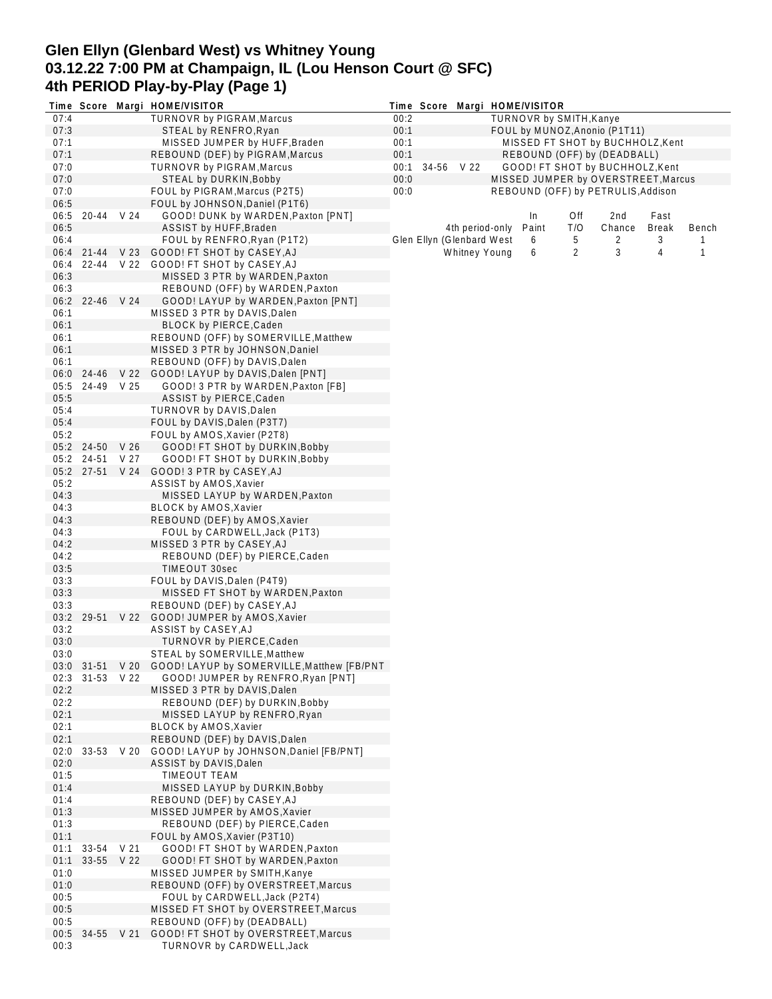# **Glen Ellyn (Glenbard West) vs Whitney Young 03.12.22 7:00 PM at Champaign, IL (Lou Henson Court @ SFC) 4th PERIOD Play-by-Play (Page 1)**

|              |                          |      | Time Score Margi HOME/VISITOR                                                              |      |                           |                      |                                  | Time Score Margi HOME/VISITOR |            |                                     |                      |       |  |  |
|--------------|--------------------------|------|--------------------------------------------------------------------------------------------|------|---------------------------|----------------------|----------------------------------|-------------------------------|------------|-------------------------------------|----------------------|-------|--|--|
| 07:4         |                          |      | TURNOVR by PIGRAM, Marcus                                                                  | 00:2 |                           |                      | TURNOVR by SMITH, Kanye          |                               |            |                                     |                      |       |  |  |
| 07:3         |                          |      | STEAL by RENFRO, Ryan                                                                      | 00:1 |                           |                      | FOUL by MUNOZ, Anonio (P1T11)    |                               |            |                                     |                      |       |  |  |
| 07:1         |                          |      | MISSED JUMPER by HUFF, Braden                                                              | 00:1 |                           |                      | MISSED FT SHOT by BUCHHOLZ, Kent |                               |            |                                     |                      |       |  |  |
| 07:1         |                          |      | REBOUND (DEF) by PIGRAM, Marcus                                                            | 00:1 |                           |                      | REBOUND (OFF) by (DEADBALL)      |                               |            |                                     |                      |       |  |  |
| 07:0         |                          |      | <b>TURNOVR by PIGRAM, Marcus</b>                                                           | 00:1 | 34-56 V 22                |                      |                                  |                               |            | GOOD! FT SHOT by BUCHHOLZ, Kent     |                      |       |  |  |
| 07:0         |                          |      | STEAL by DURKIN, Bobby                                                                     | 00:0 |                           |                      |                                  |                               |            | MISSED JUMPER by OVERSTREET, Marcus |                      |       |  |  |
| 07:0         |                          |      | FOUL by PIGRAM, Marcus (P2T5)                                                              | 00:0 |                           |                      |                                  |                               |            | REBOUND (OFF) by PETRULIS, Addison  |                      |       |  |  |
| 06:5         | 20-44 V 24               |      | FOUL by JOHNSON, Daniel (P1T6)                                                             |      |                           |                      |                                  |                               |            |                                     |                      |       |  |  |
| 06:5<br>06:5 |                          |      | GOOD! DUNK by WARDEN, Paxton [PNT]<br>ASSIST by HUFF, Braden                               |      |                           | 4th period-only      |                                  | In.<br>Paint                  | Off<br>T/O | 2nd<br>Chance                       | Fast<br><b>Break</b> | Bench |  |  |
| 06:4         |                          |      | FOUL by RENFRO, Ryan (P1T2)                                                                |      | Glen Ellyn (Glenbard West |                      |                                  | 6                             | 5          | 2                                   | 3                    |       |  |  |
|              | 06:4 21-44               |      | V 23 GOOD! FT SHOT by CASEY, AJ                                                            |      |                           | <b>Whitney Young</b> |                                  | 6                             | 2          | 3                                   | 4                    | 1     |  |  |
| 06:4         |                          |      | 22-44 V 22 GOOD! FT SHOT by CASEY, AJ                                                      |      |                           |                      |                                  |                               |            |                                     |                      |       |  |  |
| 06:3         |                          |      | MISSED 3 PTR by WARDEN, Paxton                                                             |      |                           |                      |                                  |                               |            |                                     |                      |       |  |  |
| 06:3         |                          |      | REBOUND (OFF) by WARDEN, Paxton                                                            |      |                           |                      |                                  |                               |            |                                     |                      |       |  |  |
|              | 06:2 22-46 V 24          |      | GOOD! LAYUP by WARDEN, Paxton [PNT]                                                        |      |                           |                      |                                  |                               |            |                                     |                      |       |  |  |
| 06:1         |                          |      | MISSED 3 PTR by DAVIS, Dalen                                                               |      |                           |                      |                                  |                               |            |                                     |                      |       |  |  |
| 06:1         |                          |      | BLOCK by PIERCE, Caden                                                                     |      |                           |                      |                                  |                               |            |                                     |                      |       |  |  |
| 06:1         |                          |      | REBOUND (OFF) by SOMERVILLE, Matthew                                                       |      |                           |                      |                                  |                               |            |                                     |                      |       |  |  |
| 06:1         |                          |      | MISSED 3 PTR by JOHNSON, Daniel                                                            |      |                           |                      |                                  |                               |            |                                     |                      |       |  |  |
| 06:1         |                          |      | REBOUND (OFF) by DAVIS, Dalen                                                              |      |                           |                      |                                  |                               |            |                                     |                      |       |  |  |
| 06:0         | 24-46                    |      | V 22 GOOD! LAYUP by DAVIS, Dalen [PNT]                                                     |      |                           |                      |                                  |                               |            |                                     |                      |       |  |  |
| 05:5         | 24-49 V 25               |      | GOOD! 3 PTR by WARDEN, Paxton [FB]                                                         |      |                           |                      |                                  |                               |            |                                     |                      |       |  |  |
| 05:5         |                          |      | ASSIST by PIERCE, Caden                                                                    |      |                           |                      |                                  |                               |            |                                     |                      |       |  |  |
| 05:4         |                          |      | TURNOVR by DAVIS, Dalen                                                                    |      |                           |                      |                                  |                               |            |                                     |                      |       |  |  |
| 05:4         |                          |      | FOUL by DAVIS, Dalen (P3T7)                                                                |      |                           |                      |                                  |                               |            |                                     |                      |       |  |  |
| 05:2         |                          |      | FOUL by AMOS, Xavier (P2T8)                                                                |      |                           |                      |                                  |                               |            |                                     |                      |       |  |  |
|              | 05:2 24-50<br>05:2 24-51 | V 26 | GOOD! FT SHOT by DURKIN, Bobby                                                             |      |                           |                      |                                  |                               |            |                                     |                      |       |  |  |
|              | 05:2 27-51               | V 27 | GOOD! FT SHOT by DURKIN, Bobby<br>V 24 GOOD! 3 PTR by CASEY, AJ                            |      |                           |                      |                                  |                               |            |                                     |                      |       |  |  |
| 05:2         |                          |      | ASSIST by AMOS, Xavier                                                                     |      |                           |                      |                                  |                               |            |                                     |                      |       |  |  |
| 04:3         |                          |      | MISSED LAYUP by WARDEN, Paxton                                                             |      |                           |                      |                                  |                               |            |                                     |                      |       |  |  |
| 04:3         |                          |      | BLOCK by AMOS, Xavier                                                                      |      |                           |                      |                                  |                               |            |                                     |                      |       |  |  |
| 04:3         |                          |      | REBOUND (DEF) by AMOS, Xavier                                                              |      |                           |                      |                                  |                               |            |                                     |                      |       |  |  |
| 04:3         |                          |      | FOUL by CARDWELL, Jack (P1T3)                                                              |      |                           |                      |                                  |                               |            |                                     |                      |       |  |  |
| 04:2         |                          |      | MISSED 3 PTR by CASEY, AJ                                                                  |      |                           |                      |                                  |                               |            |                                     |                      |       |  |  |
| 04:2         |                          |      | REBOUND (DEF) by PIERCE, Caden                                                             |      |                           |                      |                                  |                               |            |                                     |                      |       |  |  |
| 03:5         |                          |      | TIMEOUT 30sec                                                                              |      |                           |                      |                                  |                               |            |                                     |                      |       |  |  |
| 03:3         |                          |      | FOUL by DAVIS, Dalen (P4T9)                                                                |      |                           |                      |                                  |                               |            |                                     |                      |       |  |  |
| 03:3         |                          |      | MISSED FT SHOT by WARDEN, Paxton                                                           |      |                           |                      |                                  |                               |            |                                     |                      |       |  |  |
| 03:3         |                          |      | REBOUND (DEF) by CASEY, AJ                                                                 |      |                           |                      |                                  |                               |            |                                     |                      |       |  |  |
| 03:2         |                          |      | 29-51 V 22 GOOD! JUMPER by AMOS, Xavier                                                    |      |                           |                      |                                  |                               |            |                                     |                      |       |  |  |
| 03:2         |                          |      | ASSIST by CASEY, AJ                                                                        |      |                           |                      |                                  |                               |            |                                     |                      |       |  |  |
| 03:0         |                          |      | TURNOVR by PIERCE, Caden                                                                   |      |                           |                      |                                  |                               |            |                                     |                      |       |  |  |
| 03:0         |                          |      | STEAL by SOMERVILLE, Matthew<br>03:0 31-51 V 20 GOOD! LAYUP by SOMERVILLE, Matthew [FB/PNT |      |                           |                      |                                  |                               |            |                                     |                      |       |  |  |
|              | 02:3 31-53 V 22          |      | GOOD! JUMPER by RENFRO, Ryan [PNT]                                                         |      |                           |                      |                                  |                               |            |                                     |                      |       |  |  |
| 02:2         |                          |      | MISSED 3 PTR by DAVIS, Dalen                                                               |      |                           |                      |                                  |                               |            |                                     |                      |       |  |  |
| 02:2         |                          |      | REBOUND (DEF) by DURKIN, Bobby                                                             |      |                           |                      |                                  |                               |            |                                     |                      |       |  |  |
| 02:1         |                          |      | MISSED LAYUP by RENFRO, Ryan                                                               |      |                           |                      |                                  |                               |            |                                     |                      |       |  |  |
| 02:1         |                          |      | BLOCK by AMOS, Xavier                                                                      |      |                           |                      |                                  |                               |            |                                     |                      |       |  |  |
| 02:1         |                          |      | REBOUND (DEF) by DAVIS, Dalen                                                              |      |                           |                      |                                  |                               |            |                                     |                      |       |  |  |
| 02:0         | 33-53 V 20               |      | GOOD! LAYUP by JOHNSON, Daniel [FB/PNT]                                                    |      |                           |                      |                                  |                               |            |                                     |                      |       |  |  |
| 02:0         |                          |      | ASSIST by DAVIS, Dalen                                                                     |      |                           |                      |                                  |                               |            |                                     |                      |       |  |  |
| 01:5         |                          |      | <b>TIMEOUT TEAM</b>                                                                        |      |                           |                      |                                  |                               |            |                                     |                      |       |  |  |
| 01:4         |                          |      | MISSED LAYUP by DURKIN, Bobby                                                              |      |                           |                      |                                  |                               |            |                                     |                      |       |  |  |
| 01:4         |                          |      | REBOUND (DEF) by CASEY, AJ                                                                 |      |                           |                      |                                  |                               |            |                                     |                      |       |  |  |
| 01:3         |                          |      | MISSED JUMPER by AMOS, Xavier                                                              |      |                           |                      |                                  |                               |            |                                     |                      |       |  |  |
| 01:3         |                          |      | REBOUND (DEF) by PIERCE, Caden                                                             |      |                           |                      |                                  |                               |            |                                     |                      |       |  |  |
| 01:1         |                          |      | FOUL by AMOS, Xavier (P3T10)                                                               |      |                           |                      |                                  |                               |            |                                     |                      |       |  |  |
| 01:1         | 33-54 V 21               |      | GOOD! FT SHOT by WARDEN, Paxton                                                            |      |                           |                      |                                  |                               |            |                                     |                      |       |  |  |
| 01:1         | 33-55 V 22               |      | GOOD! FT SHOT by WARDEN, Paxton<br>MISSED JUMPER by SMITH, Kanye                           |      |                           |                      |                                  |                               |            |                                     |                      |       |  |  |
| 01:0<br>01:0 |                          |      | REBOUND (OFF) by OVERSTREET, Marcus                                                        |      |                           |                      |                                  |                               |            |                                     |                      |       |  |  |
| 00:5         |                          |      | FOUL by CARDWELL, Jack (P2T4)                                                              |      |                           |                      |                                  |                               |            |                                     |                      |       |  |  |
| 00:5         |                          |      | MISSED FT SHOT by OVERSTREET, Marcus                                                       |      |                           |                      |                                  |                               |            |                                     |                      |       |  |  |
| 00:5         |                          |      | REBOUND (OFF) by (DEADBALL)                                                                |      |                           |                      |                                  |                               |            |                                     |                      |       |  |  |
| 00:5         | 34-55 V 21               |      | GOOD! FT SHOT by OVERSTREET, Marcus                                                        |      |                           |                      |                                  |                               |            |                                     |                      |       |  |  |
| 00:3         |                          |      | TURNOVR by CARDWELL, Jack                                                                  |      |                           |                      |                                  |                               |            |                                     |                      |       |  |  |
|              |                          |      |                                                                                            |      |                           |                      |                                  |                               |            |                                     |                      |       |  |  |